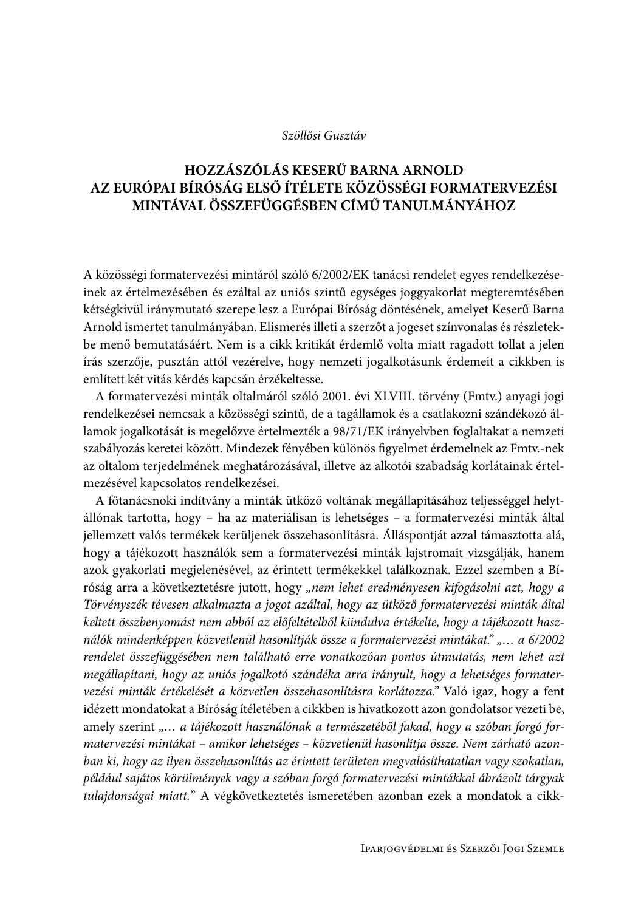## Szöllősi Gusztáv

## HOZZÁSZÓLÁS KESERŰ BARNA ARNOLD AZ EURÓPAI BÍRÓSÁG ELSŐ ÍTÉLETE KÖZÖSSÉGI FORMATERVEZÉSI MINTÁVAL ÖSSZEFÜGGÉSBEN CÍMŰ TANULMÁNYÁHOZ

A közösségi formatervezési mintáról szóló 6/2002/EK tanácsi rendelet egyes rendelkezéseinek az értelmezésében és ezáltal az uniós szintű egységes joggyakorlat megteremtésében kétségkívül iránymutató szerepe lesz a Európai Bíróság döntésének, amelyet Keserű Barna Arnold ismertet tanulmányában. Elismerés illeti a szerzőt a jogeset színvonalas és részletekbe menő bemutatásáért. Nem is a cikk kritikát érdemlő volta miatt ragadott tollat a jelen írás szerzője, pusztán attól vezérelve, hogy nemzeti jogalkotásunk érdemeit a cikkben is említett két vitás kérdés kapcsán érzékeltesse.

A formatervezési minták oltalmáról szóló 2001. évi XLVIII. törvény (Fmtv.) anyagi jogi rendelkezései nemcsak a közösségi szintű, de a tagállamok és a csatlakozni szándékozó államok jogalkotását is megelőzve értelmezték a 98/71/EK irányelvben foglaltakat a nemzeti szabályozás keretei között. Mindezek fényében különös figyelmet érdemelnek az Fmtv.-nek az oltalom terjedelmének meghatározásával, illetve az alkotói szabadság korlátainak értelmezésével kapcsolatos rendelkezései.

A főtanácsnoki indítvány a minták ütköző voltának megállapításához teljességgel helytállónak tartotta, hogy – ha az materiálisan is lehetséges – a formatervezési minták által jellemzett valós termékek kerüljenek összehasonlításra. Álláspontját azzal támasztotta alá, hogy a tájékozott használók sem a formatervezési minták lajstromait vizsgálják, hanem azok gyakorlati megjelenésével, az érintett termékekkel találkoznak. Ezzel szemben a Bíróság arra a következtetésre jutott, hogy "nem lehet eredményesen kifogásolni azt, hogy a Törvényszék tévesen alkalmazta a jogot azáltal, hogy az ütköző formatervezési minták által keltett összbenyomást nem abból az előfeltételből kiindulva értékelte, hogy a tájékozott használók mindenképpen közvetlenül hasonlítják össze a formatervezési mintákat.",... a 6/2002 rendelet összefüggésében nem található erre vonatkozóan pontos útmutatás, nem lehet azt megállapítani, hogy az uniós jogalkotó szándéka arra irányult, hogy a lehetséges formatervezési minták értékelését a közvetlen összehasonlításra korlátozza." Való igaz, hogy a fent idézett mondatokat a Bíróság ítéletében a cikkben is hivatkozott azon gondolatsor vezeti be, amely szerint "... a tájékozott használónak a természetéből fakad, hogy a szóban forgó formatervezési mintákat – amikor lehetséges – közvetlenül hasonlítja össze. Nem zárható azonban ki, hogy az ilyen összehasonlítás az érintett területen megvalósíthatatlan vagy szokatlan, például sajátos körülmények vagy a szóban forgó formatervezési mintákkal ábrázolt tárgyak tulajdonságai miatt." A végkövetkeztetés ismeretében azonban ezek a mondatok a cikk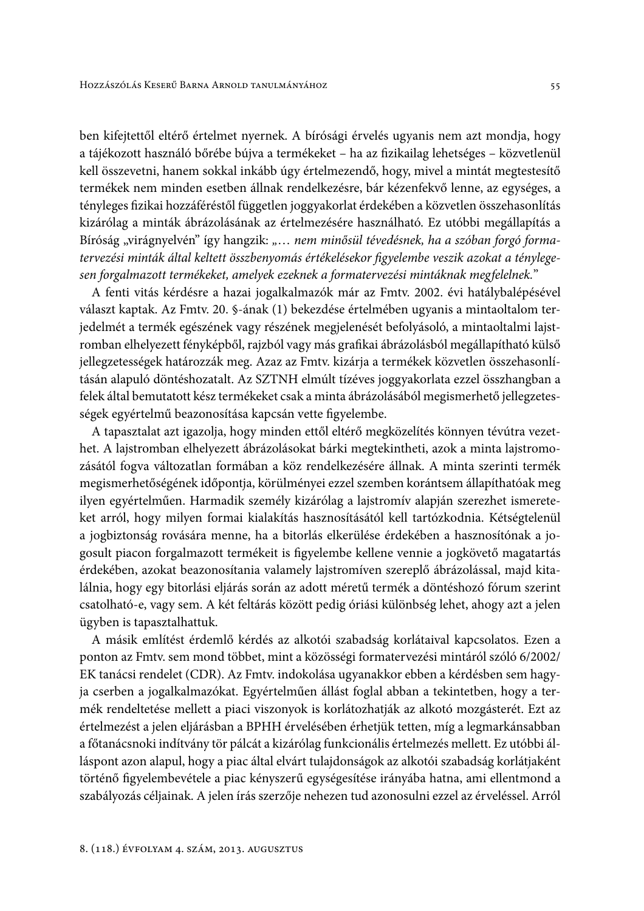ben kifejtettől eltérő értelmet nyernek. A bírósági érvelés ugyanis nem azt mondja, hogy a tájékozott használó bőrébe bújva a termékeket - ha az fizikailag lehetséges - közvetlenül kell összevetni, hanem sokkal inkább úgy értelmezendő, hogy, mivel a mintát megtestesítő termékek nem minden esetben állnak rendelkezésre, bár kézenfekvő lenne, az egységes, a tényleges fizikai hozzáféréstől független joggyakorlat érdekében a közvetlen összehasonlítás kizárólag a minták ábrázolásának az értelmezésére használható. Ez utóbbi megállapítás a Bíróság "virágnyelvén" így hangzik: "... nem minősül tévedésnek, ha a szóban forgó formatervezési minták által keltett összbenyomás értékelésekor figyelembe veszik azokat a ténylegesen forgalmazott termékeket, amelyek ezeknek a formatervezési mintáknak megfelelnek."

A fenti vitás kérdésre a hazai jogalkalmazók már az Fmtv. 2002. évi hatálybalépésével választ kaptak. Az Fmtv. 20. §-ának (1) bekezdése értelmében ugyanis a mintaoltalom terjedelmét a termék egészének vagy részének megjelenését befolyásoló, a mintaoltalmi lajstromban elhelyezett fényképből, rajzból vagy más grafikai ábrázolásból megállapítható külső jellegzetességek határozzák meg. Azaz az Fmtv. kizárja a termékek közvetlen összehasonlításán alapuló döntéshozatalt. Az SZTNH elmúlt tízéves joggyakorlata ezzel összhangban a felek által bemutatott kész termékeket csak a minta ábrázolásából megismerhető jellegzetességek egyértelmű beazonosítása kapcsán vette figyelembe.

A tapasztalat azt igazolja, hogy minden ettől eltérő megközelítés könnyen tévútra vezethet. A lajstromban elhelyezett ábrázolásokat bárki megtekintheti, azok a minta lajstromozásától fogva változatlan formában a köz rendelkezésére állnak. A minta szerinti termék megismerhetőségének időpontja, körülményei ezzel szemben korántsem állapíthatóak meg ilyen egyértelműen. Harmadik személy kizárólag a lajstromív alapján szerezhet ismereteket arról, hogy milyen formai kialakítás hasznosításától kell tartózkodnia. Kétségtelenül a jogbiztonság rovására menne, ha a bitorlás elkerülése érdekében a hasznosítónak a jogosult piacon forgalmazott termékeit is figyelembe kellene vennie a jogkövető magatartás érdekében, azokat beazonosítania valamely lajstromíven szereplő ábrázolással, majd kitalálnia, hogy egy bitorlási eljárás során az adott méretű termék a döntéshozó fórum szerint csatolható-e, vagy sem. A két feltárás között pedig óriási különbség lehet, ahogy azt a jelen ügyben is tapasztalhattuk.

A másik említést érdemlő kérdés az alkotói szabadság korlátaival kapcsolatos. Ezen a ponton az Fmtv. sem mond többet, mint a közösségi formatervezési mintáról szóló 6/2002/ EK tanácsi rendelet (CDR). Az Fmtv. indokolása ugyanakkor ebben a kérdésben sem hagyja cserben a jogalkalmazókat. Egyértelműen állást foglal abban a tekintetben, hogy a termék rendeltetése mellett a piaci viszonyok is korlátozhatják az alkotó mozgásterét. Ezt az értelmezést a jelen eljárásban a BPHH érvelésében érhetjük tetten, míg a legmarkánsabban a főtanácsnoki indítvány tör pálcát a kizárólag funkcionális értelmezés mellett. Ez utóbbi álláspont azon alapul, hogy a piac által elvárt tulajdonságok az alkotói szabadság korlátjaként történő figyelembevétele a piac kényszerű egységesítése irányába hatna, ami ellentmond a szabályozás céljainak. A jelen írás szerzője nehezen tud azonosulni ezzel az érveléssel. Arról